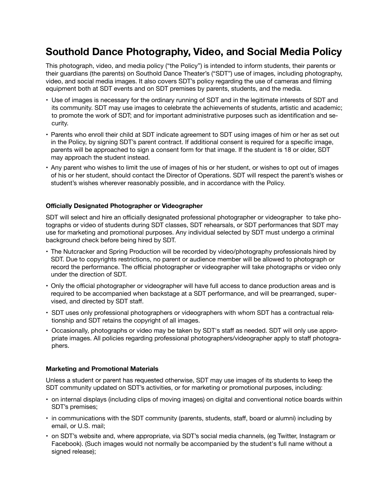# **Southold Dance Photography, Video, and Social Media Policy**

This photograph, video, and media policy ("the Policy") is intended to inform students, their parents or their guardians (the parents) on Southold Dance Theater's ("SDT") use of images, including photography, video, and social media images. It also covers SDT's policy regarding the use of cameras and filming equipment both at SDT events and on SDT premises by parents, students, and the media.

- Use of images is necessary for the ordinary running of SDT and in the legitimate interests of SDT and its community. SDT may use images to celebrate the achievements of students, artistic and academic; to promote the work of SDT; and for important administrative purposes such as identification and security.
- Parents who enroll their child at SDT indicate agreement to SDT using images of him or her as set out in the Policy, by signing SDT's parent contract. If additional consent is required for a specific image, parents will be approached to sign a consent form for that image. If the student is 18 or older, SDT may approach the student instead.
- Any parent who wishes to limit the use of images of his or her student, or wishes to opt out of images of his or her student, should contact the Director of Operations. SDT will respect the parent's wishes or student's wishes wherever reasonably possible, and in accordance with the Policy.

## **Officially Designated Photographer or Videographer**

SDT will select and hire an officially designated professional photographer or videographer to take photographs or video of students during SDT classes, SDT rehearsals, or SDT performances that SDT may use for marketing and promotional purposes. Any individual selected by SDT must undergo a criminal background check before being hired by SDT.

- The Nutcracker and Spring Production will be recorded by video/photography professionals hired by SDT. Due to copyrights restrictions, no parent or audience member will be allowed to photograph or record the performance. The official photographer or videographer will take photographs or video only under the direction of SDT.
- Only the official photographer or videographer will have full access to dance production areas and is required to be accompanied when backstage at a SDT performance, and will be prearranged, supervised, and directed by SDT staff.
- SDT uses only professional photographers or videographers with whom SDT has a contractual relationship and SDT retains the copyright of all images.
- Occasionally, photographs or video may be taken by SDT's staff as needed. SDT will only use appropriate images. All policies regarding professional photographers/videographer apply to staff photographers.

## **Marketing and Promotional Materials**

Unless a student or parent has requested otherwise, SDT may use images of its students to keep the SDT community updated on SDT's activities, or for marketing or promotional purposes, including:

- on internal displays (including clips of moving images) on digital and conventional notice boards within SDT's premises;
- in communications with the SDT community (parents, students, staff, board or alumni) including by email, or U.S. mail;
- on SDT's website and, where appropriate, via SDT's social media channels, (eg Twitter, Instagram or Facebook). (Such images would not normally be accompanied by the student's full name without a signed release);